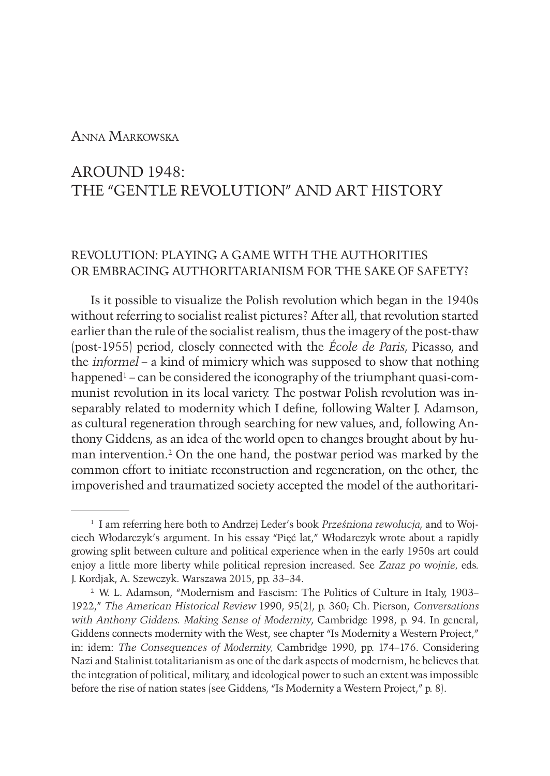Anna Markowska

# AROUND 1948: THE "GENTLE REVOLUTION" AND ART HISTORY

# REVOLUTION: PLAYING A GAME WITH THE AUTHORITIES OR EMBRACING AUTHORITARIANISM FOR THE SAKE OF SAFETY?

Is it possible to visualize the Polish revolution which began in the 1940s without referring to socialist realist pictures? After all, that revolution started earlier than the rule of the socialist realism, thus the imagery of the post-thaw (post-1955) period, closely connected with the *École de Paris*, Picasso, and the *informel* – a kind of mimicry which was supposed to show that nothing happened<sup>1</sup> – can be considered the iconography of the triumphant quasi-communist revolution in its local variety. The postwar Polish revolution was inseparably related to modernity which I define, following Walter J. Adamson, as cultural regeneration through searching for new values, and, following Anthony Giddens, as an idea of the world open to changes brought about by human intervention.2 On the one hand, the postwar period was marked by the common effort to initiate reconstruction and regeneration, on the other, the impoverished and traumatized society accepted the model of the authoritari-

<sup>1</sup> I am referring here both to Andrzej Leder's book *Prześniona rewolucja*, and to Wojciech Włodarczyk's argument. In his essay "Pięć lat," Włodarczyk wrote about a rapidly growing split between culture and political experience when in the early 1950s art could enjoy a little more liberty while political represion increased. See *Zaraz po wojnie,* eds. J. Kordjak, A. Szewczyk. Warszawa 2015, pp. 33–34.

<sup>2</sup> W. L. Adamson, "Modernism and Fascism: The Politics of Culture in Italy, 1903– 1922," *The American Historical Review* 1990, 95(2), p. 360; Ch. Pierson, *Conversations with Anthony Giddens. Making Sense of Modernity*, Cambridge 1998, p. 94. In general, Giddens connects modernity with the West, see chapter "Is Modernity a Western Project," in: idem: *The Consequences of Modernity,* Cambridge 1990, pp. 174–176. Considering Nazi and Stalinist totalitarianism as one of the dark aspects of modernism, he believes that the integration of political, military, and ideological power to such an extent was impossible before the rise of nation states (see Giddens, "Is Modernity a Western Project," p. 8).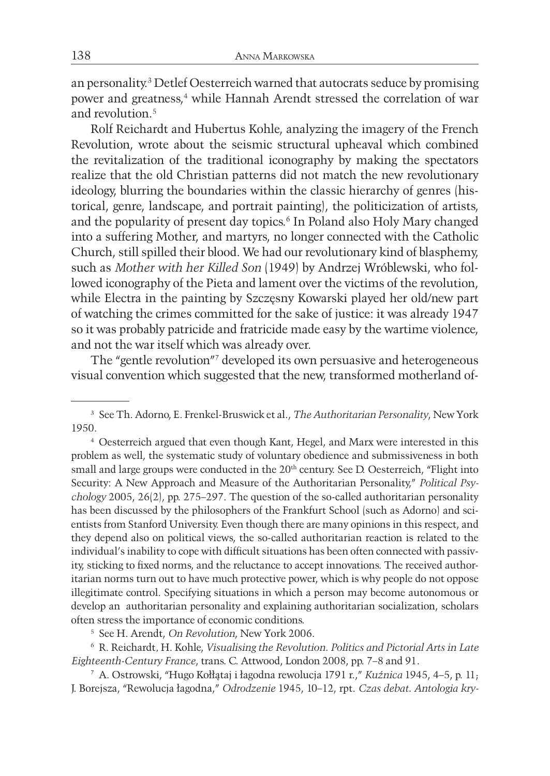an personality.3 Detlef Oesterreich warned that autocrats seduce by promising power and greatness,<sup>4</sup> while Hannah Arendt stressed the correlation of war and revolution.<sup>5</sup>

Rolf Reichardt and Hubertus Kohle, analyzing the imagery of the French Revolution, wrote about the seismic structural upheaval which combined the revitalization of the traditional iconography by making the spectators realize that the old Christian patterns did not match the new revolutionary ideology, blurring the boundaries within the classic hierarchy of genres (historical, genre, landscape, and portrait painting), the politicization of artists, and the popularity of present day topics.6 In Poland also Holy Mary changed into a suffering Mother, and martyrs, no longer connected with the Catholic Church, still spilled their blood. We had our revolutionary kind of blasphemy, such as *Mother with her Killed Son* (1949) by Andrzej Wróblewski, who followed iconography of the Pieta and lament over the victims of the revolution, while Electra in the painting by Szczęsny Kowarski played her old/new part of watching the crimes committed for the sake of justice: it was already 1947 so it was probably patricide and fratricide made easy by the wartime violence, and not the war itself which was already over.

The "gentle revolution"7 developed its own persuasive and heterogeneous visual convention which suggested that the new, transformed motherland of-

<sup>3</sup> See Th. Adorno, E. Frenkel-Bruswick et al., *The Authoritarian Personality*, New York 1950.

<sup>4</sup> Oesterreich argued that even though Kant, Hegel, and Marx were interested in this problem as well, the systematic study of voluntary obedience and submissiveness in both small and large groups were conducted in the 20<sup>th</sup> century. See D. Oesterreich, "Flight into Security: A New Approach and Measure of the Authoritarian Personality," *Political Psychology* 2005, 26(2), pp. 275–297. The question of the so-called authoritarian personality has been discussed by the philosophers of the Frankfurt School (such as Adorno) and scientists from Stanford University. Even though there are many opinions in this respect, and they depend also on political views, the so-called authoritarian reaction is related to the individual's inability to cope with difficult situations has been often connected with passivity, sticking to fixed norms, and the reluctance to accept innovations. The received authoritarian norms turn out to have much protective power, which is why people do not oppose illegitimate control. Specifying situations in which a person may become autonomous or develop an authoritarian personality and explaining authoritarian socialization, scholars often stress the importance of economic conditions.

<sup>5</sup> See H. Arendt, *On Revolution*, New York 2006.

<sup>6</sup> R. Reichardt*,* H. Kohle, *Visualising the Revolution. Politics and Pictorial Arts in Late Eighteenth-Century France*, trans. C. Attwood, London 2008, pp. 7–8 and 91.

<sup>7</sup> A. Ostrowski, "Hugo Kołłątaj i łagodna rewolucja 1791 r.," *Kuźnica* 1945, 4–5, p. 11; J. Borejsza, "Rewolucja łagodna," *Odrodzenie* 1945, 10–12, rpt. *Czas debat. Antologia kry-*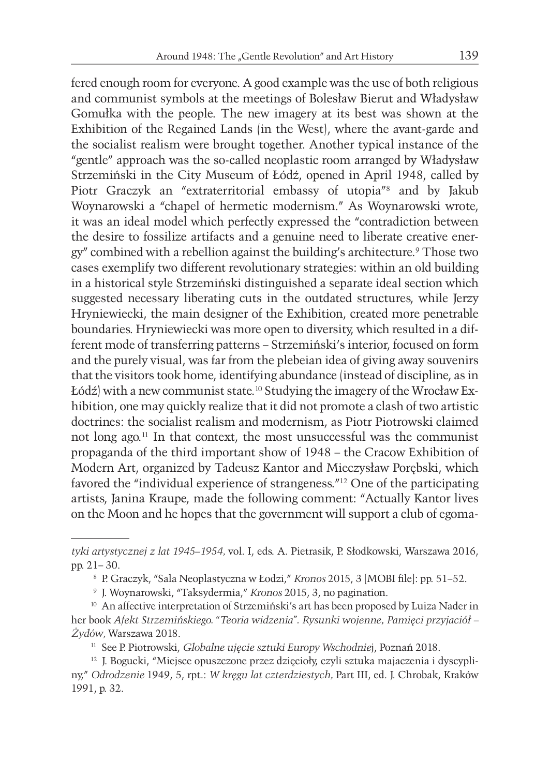fered enough room for everyone. A good example was the use of both religious and communist symbols at the meetings of Bolesław Bierut and Władysław Gomułka with the people. The new imagery at its best was shown at the Exhibition of the Regained Lands (in the West), where the avant-garde and the socialist realism were brought together. Another typical instance of the "gentle" approach was the so-called neoplastic room arranged by Władysław Strzemiński in the City Museum of Łódź, opened in April 1948, called by Piotr Graczyk an "extraterritorial embassy of utopia"8 and by Jakub Woynarowski a "chapel of hermetic modernism." As Woynarowski wrote, it was an ideal model which perfectly expressed the "contradiction between the desire to fossilize artifacts and a genuine need to liberate creative energy" combined with a rebellion against the building's architecture.9 Those two cases exemplify two different revolutionary strategies: within an old building in a historical style Strzemiński distinguished a separate ideal section which suggested necessary liberating cuts in the outdated structures, while Jerzy Hryniewiecki, the main designer of the Exhibition, created more penetrable boundaries. Hryniewiecki was more open to diversity, which resulted in a different mode of transferring patterns – Strzemiński's interior, focused on form and the purely visual, was far from the plebeian idea of giving away souvenirs that the visitors took home, identifying abundance (instead of discipline, as in Łódź) with a new communist state.10 Studying the imagery of the Wrocław Exhibition, one may quickly realize that it did not promote a clash of two artistic doctrines: the socialist realism and modernism, as Piotr Piotrowski claimed not long ago.11 In that context, the most unsuccessful was the communist propaganda of the third important show of 1948 – the Cracow Exhibition of Modern Art, organized by Tadeusz Kantor and Mieczysław Porębski, which favored the "individual experience of strangeness."12 One of the participating artists, Janina Kraupe, made the following comment: "Actually Kantor lives on the Moon and he hopes that the government will support a club of egoma-

*tyki artystycznej z lat 1945–1954,* vol. I, eds. A. Pietrasik, P. Słodkowski, Warszawa 2016, pp. 21– 30.

<sup>8</sup> P. Graczyk, "Sala Neoplastyczna w Łodzi," *Kronos* 2015, 3 [MOBI file]: pp. 51–52.

<sup>9</sup> J. Woynarowski, "Taksydermia," *Kronos* 2015, 3, no pagination.

<sup>&</sup>lt;sup>10</sup> An affective interpretation of Strzemiński's art has been proposed by Luiza Nader in her book *Afekt Strzemińskiego. "Teoria widzenia". Rysunki wojenne, Pamięci przyjaciół – Żydów,* Warszawa 2018.

<sup>11</sup> See P. Piotrowski, *Globalne ujęcie sztuki Europy Wschodnie*j, Poznań 2018.

<sup>12</sup> J. Bogucki, "Miejsce opuszczone przez dzięcioły, czyli sztuka majaczenia i dyscypliny," *Odrodzenie* 1949, 5, rpt.: *W kręgu lat czterdziestych,* Part III, ed. J. Chrobak, Kraków 1991, p. 32.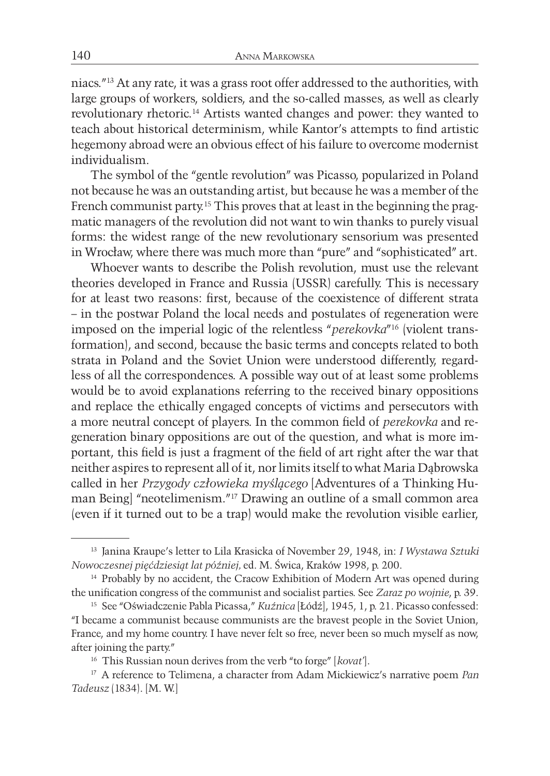niacs."13 At any rate, it was a grass root offer addressed to the authorities, with large groups of workers, soldiers, and the so-called masses, as well as clearly revolutionary rhetoric.14 Artists wanted changes and power: they wanted to teach about historical determinism, while Kantor's attempts to find artistic hegemony abroad were an obvious effect of his failure to overcome modernist individualism.

The symbol of the "gentle revolution" was Picasso, popularized in Poland not because he was an outstanding artist, but because he was a member of the French communist party.<sup>15</sup> This proves that at least in the beginning the pragmatic managers of the revolution did not want to win thanks to purely visual forms: the widest range of the new revolutionary sensorium was presented in Wrocław, where there was much more than "pure" and "sophisticated" art.

Whoever wants to describe the Polish revolution, must use the relevant theories developed in France and Russia (USSR) carefully. This is necessary for at least two reasons: first, because of the coexistence of different strata – in the postwar Poland the local needs and postulates of regeneration were imposed on the imperial logic of the relentless "*perekovka*"16 (violent transformation), and second, because the basic terms and concepts related to both strata in Poland and the Soviet Union were understood differently, regardless of all the correspondences. A possible way out of at least some problems would be to avoid explanations referring to the received binary oppositions and replace the ethically engaged concepts of victims and persecutors with a more neutral concept of players. In the common field of *perekovka* and regeneration binary oppositions are out of the question, and what is more important, this field is just a fragment of the field of art right after the war that neither aspires to represent all of it, nor limits itself to what Maria Dąbrowska called in her *Przygody człowieka myślącego* [Adventures of a Thinking Human Being] "neotelimenism."17 Drawing an outline of a small common area (even if it turned out to be a trap) would make the revolution visible earlier,

<sup>13</sup> Janina Kraupe's letter to Lila Krasicka of November 29, 1948, in: *I Wystawa Sztuki Nowoczesnej pięćdziesiąt lat później,* ed. M. Świca, Kraków 1998, p. 200.

<sup>&</sup>lt;sup>14</sup> Probably by no accident, the Cracow Exhibition of Modern Art was opened during the unification congress of the communist and socialist parties. See *Zaraz po wojnie*, p. 39.

<sup>15</sup> See "Oświadczenie Pabla Picassa," *Kuźnica* [Łódź], 1945, 1, p. 21. Picasso confessed: "I became a communist because communists are the bravest people in the Soviet Union, France, and my home country. I have never felt so free, never been so much myself as now, after joining the party."

<sup>16</sup> This Russian noun derives from the verb "to forge" [*kovat'*].

<sup>17</sup> A reference to Telimena, a character from Adam Mickiewicz's narrative poem *Pan Tadeusz* (1834). [M. W.]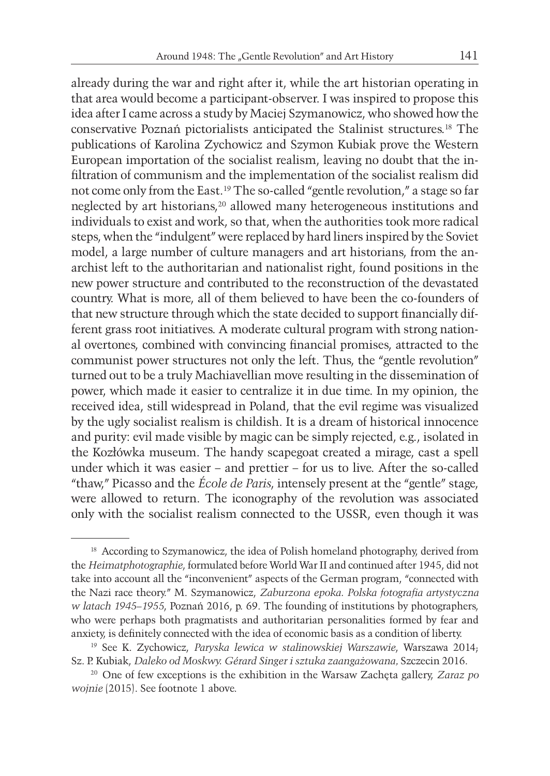already during the war and right after it, while the art historian operating in that area would become a participant-observer. I was inspired to propose this idea after I came across a study by Maciej Szymanowicz, who showed how the conservative Poznań pictorialists anticipated the Stalinist structures.18 The publications of Karolina Zychowicz and Szymon Kubiak prove the Western European importation of the socialist realism, leaving no doubt that the infiltration of communism and the implementation of the socialist realism did not come only from the East.19 The so-called "gentle revolution," a stage so far neglected by art historians,<sup>20</sup> allowed many heterogeneous institutions and individuals to exist and work, so that, when the authorities took more radical steps, when the "indulgent" were replaced by hard liners inspired by the Soviet model, a large number of culture managers and art historians, from the anarchist left to the authoritarian and nationalist right, found positions in the new power structure and contributed to the reconstruction of the devastated country. What is more, all of them believed to have been the co-founders of that new structure through which the state decided to support financially different grass root initiatives. A moderate cultural program with strong national overtones, combined with convincing financial promises, attracted to the communist power structures not only the left. Thus, the "gentle revolution" turned out to be a truly Machiavellian move resulting in the dissemination of power, which made it easier to centralize it in due time. In my opinion, the received idea, still widespread in Poland, that the evil regime was visualized by the ugly socialist realism is childish. It is a dream of historical innocence and purity: evil made visible by magic can be simply rejected, e.g., isolated in the Kozłówka museum. The handy scapegoat created a mirage, cast a spell under which it was easier – and prettier – for us to live. After the so-called "thaw," Picasso and the *École de Paris*, intensely present at the "gentle" stage, were allowed to return. The iconography of the revolution was associated only with the socialist realism connected to the USSR, even though it was

<sup>&</sup>lt;sup>18</sup> According to Szymanowicz, the idea of Polish homeland photography, derived from the *Heimatphotographie*, formulated before World War II and continued after 1945, did not take into account all the "inconvenient" aspects of the German program, "connected with the Nazi race theory." M. Szymanowicz, *Zaburzona epoka. Polska fotografia artystyczna w latach 1945–1955*, Poznań 2016, p. 69. The founding of institutions by photographers, who were perhaps both pragmatists and authoritarian personalities formed by fear and anxiety, is definitely connected with the idea of economic basis as a condition of liberty.

<sup>19</sup> See K. Zychowicz, *Paryska lewica w stalinowskiej Warszawie*, Warszawa 2014; Sz. P. Kubiak, *Daleko od Moskwy. Gérard Singer i sztuka zaangażowana,* Szczecin 2016.

<sup>20</sup> One of few exceptions is the exhibition in the Warsaw Zachęta gallery, *Zaraz po wojnie* (2015). See footnote 1 above.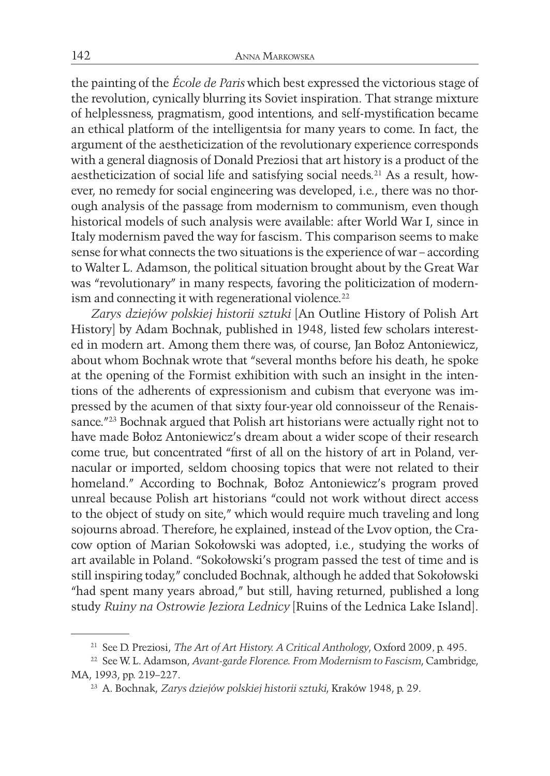the painting of the *École de Paris* which best expressed the victorious stage of the revolution, cynically blurring its Soviet inspiration. That strange mixture of helplessness, pragmatism, good intentions, and self-mystification became an ethical platform of the intelligentsia for many years to come. In fact, the argument of the aestheticization of the revolutionary experience corresponds with a general diagnosis of Donald Preziosi that art history is a product of the aestheticization of social life and satisfying social needs.21 As a result, however, no remedy for social engineering was developed, i.e., there was no thorough analysis of the passage from modernism to communism, even though historical models of such analysis were available: after World War I, since in Italy modernism paved the way for fascism. This comparison seems to make sense for what connects the two situations is the experience of war – according to Walter L. Adamson, the political situation brought about by the Great War was "revolutionary" in many respects, favoring the politicization of modernism and connecting it with regenerational violence.<sup>22</sup>

*Zarys dziejów polskiej historii sztuki* [An Outline History of Polish Art History] by Adam Bochnak, published in 1948, listed few scholars interested in modern art. Among them there was, of course, Jan Bołoz Antoniewicz, about whom Bochnak wrote that "several months before his death, he spoke at the opening of the Formist exhibition with such an insight in the intentions of the adherents of expressionism and cubism that everyone was impressed by the acumen of that sixty four-year old connoisseur of the Renaissance."<sup>23</sup> Bochnak argued that Polish art historians were actually right not to have made Bołoz Antoniewicz's dream about a wider scope of their research come true, but concentrated "first of all on the history of art in Poland, vernacular or imported, seldom choosing topics that were not related to their homeland." According to Bochnak, Bołoz Antoniewicz's program proved unreal because Polish art historians "could not work without direct access to the object of study on site," which would require much traveling and long sojourns abroad. Therefore, he explained, instead of the Lvov option, the Cracow option of Marian Sokołowski was adopted, i.e., studying the works of art available in Poland. "Sokołowski's program passed the test of time and is still inspiring today," concluded Bochnak, although he added that Sokołowski "had spent many years abroad," but still, having returned, published a long study *Ruiny na Ostrowie Jeziora Lednicy* [Ruins of the Lednica Lake Island].

<sup>21</sup> See D. Preziosi, *The Art of Art History. A Critical Anthology*, Oxford 2009*,* p. 495.

<sup>22</sup> See W. L. Adamson, *Avant-garde Florence. From Modernism to Fascism*, Cambridge, MA, 1993, pp. 219–227.

<sup>23</sup> A. Bochnak, *Zarys dziejów polskiej historii sztuki*, Kraków 1948, p. 29.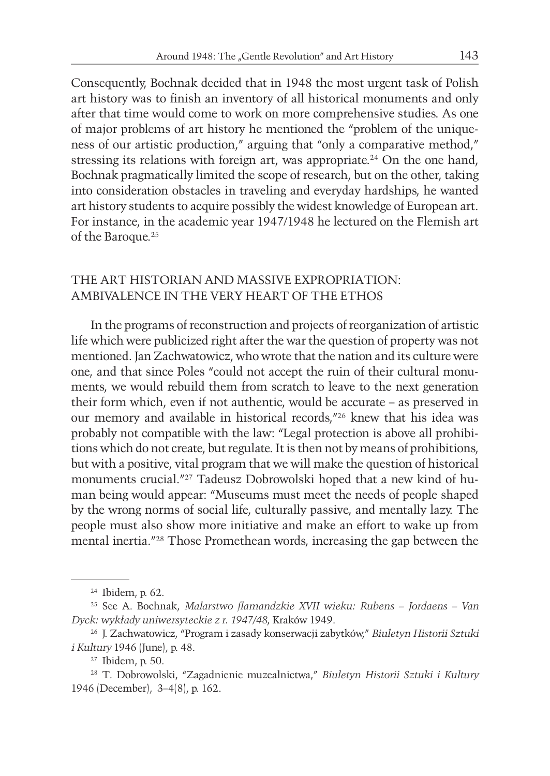Consequently, Bochnak decided that in 1948 the most urgent task of Polish art history was to finish an inventory of all historical monuments and only after that time would come to work on more comprehensive studies. As one of major problems of art history he mentioned the "problem of the uniqueness of our artistic production," arguing that "only a comparative method," stressing its relations with foreign art, was appropriate.<sup>24</sup> On the one hand, Bochnak pragmatically limited the scope of research, but on the other, taking into consideration obstacles in traveling and everyday hardships, he wanted art history students to acquire possibly the widest knowledge of European art. For instance, in the academic year 1947/1948 he lectured on the Flemish art of the Baroque.<sup>25</sup>

## THE ART HISTORIAN AND MASSIVE EXPROPRIATION: AMBIVALENCE IN THE VERY HEART OF THE ETHOS

In the programs of reconstruction and projects of reorganization of artistic life which were publicized right after the war the question of property was not mentioned. Jan Zachwatowicz, who wrote that the nation and its culture were one, and that since Poles "could not accept the ruin of their cultural monuments, we would rebuild them from scratch to leave to the next generation their form which, even if not authentic, would be accurate – as preserved in our memory and available in historical records,"26 knew that his idea was probably not compatible with the law: "Legal protection is above all prohibitions which do not create, but regulate. It is then not by means of prohibitions, but with a positive, vital program that we will make the question of historical monuments crucial."27 Tadeusz Dobrowolski hoped that a new kind of human being would appear: "Museums must meet the needs of people shaped by the wrong norms of social life, culturally passive, and mentally lazy. The people must also show more initiative and make an effort to wake up from mental inertia."28 Those Promethean words, increasing the gap between the

<sup>24</sup> Ibidem, p. 62.

<sup>25</sup> See A. Bochnak, *Malarstwo flamandzkie XVII wieku: Rubens – Jordaens – Van Dyck: wykłady uniwersyteckie z r. 1947/48*, Kraków 1949.

<sup>26</sup> J. Zachwatowicz, "Program i zasady konserwacji zabytków," *Biuletyn Historii Sztuki i Kultury* 1946 (June), p. 48.

<sup>27</sup> Ibidem, p. 50.

<sup>28</sup> T. Dobrowolski, "Zagadnienie muzealnictwa," *Biuletyn Historii Sztuki i Kultury* 1946 (December), 3–4(8), p. 162.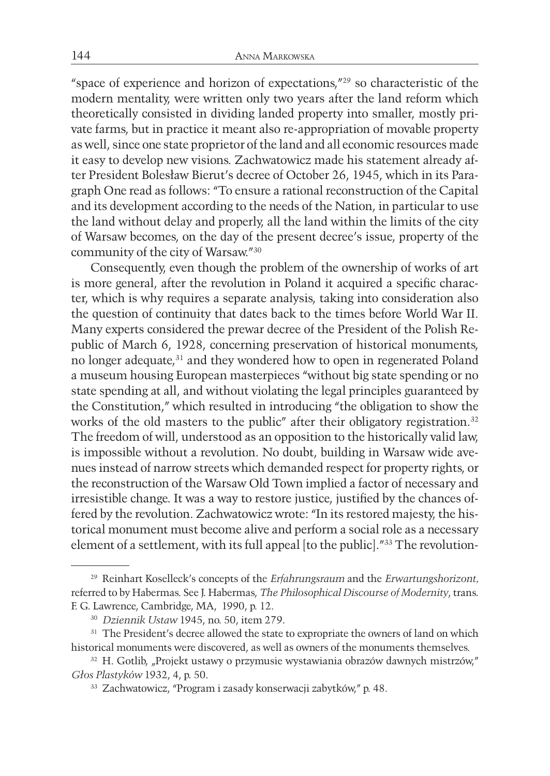"space of experience and horizon of expectations,"29 so characteristic of the modern mentality, were written only two years after the land reform which theoretically consisted in dividing landed property into smaller, mostly private farms, but in practice it meant also re-appropriation of movable property as well, since one state proprietor of the land and all economic resources made it easy to develop new visions. Zachwatowicz made his statement already after President Bolesław Bierut's decree of October 26, 1945, which in its Paragraph One read as follows: "To ensure a rational reconstruction of the Capital and its development according to the needs of the Nation, in particular to use the land without delay and properly, all the land within the limits of the city of Warsaw becomes, on the day of the present decree's issue, property of the community of the city of Warsaw."30

Consequently, even though the problem of the ownership of works of art is more general, after the revolution in Poland it acquired a specific character, which is why requires a separate analysis, taking into consideration also the question of continuity that dates back to the times before World War II. Many experts considered the prewar decree of the President of the Polish Republic of March 6, 1928, concerning preservation of historical monuments, no longer adequate,<sup>31</sup> and they wondered how to open in regenerated Poland a museum housing European masterpieces "without big state spending or no state spending at all, and without violating the legal principles guaranteed by the Constitution," which resulted in introducing "the obligation to show the works of the old masters to the public" after their obligatory registration.<sup>32</sup> The freedom of will, understood as an opposition to the historically valid law, is impossible without a revolution. No doubt, building in Warsaw wide avenues instead of narrow streets which demanded respect for property rights, or the reconstruction of the Warsaw Old Town implied a factor of necessary and irresistible change. It was a way to restore justice, justified by the chances offered by the revolution. Zachwatowicz wrote: "In its restored majesty, the historical monument must become alive and perform a social role as a necessary element of a settlement, with its full appeal [to the public]."33 The revolution-

<sup>29</sup> Reinhart Koselleck's concepts of the *Erfahrungsraum* and the *Erwartungshorizont,*  referred to by Habermas. See J. Habermas, *The Philosophical Discourse of Modernity*, trans. F. G. Lawrence, Cambridge, MA, 1990, p. 12.

<sup>30</sup> *Dziennik Ustaw* 1945, no. 50, item 279.

<sup>&</sup>lt;sup>31</sup> The President's decree allowed the state to expropriate the owners of land on which historical monuments were discovered, as well as owners of the monuments themselves.

<sup>&</sup>lt;sup>32</sup> H. Gotlib, "Projekt ustawy o przymusie wystawiania obrazów dawnych mistrzów," *Głos Plastyków* 1932, 4, p. 50.

<sup>33</sup> Zachwatowicz, "Program i zasady konserwacji zabytków," p. 48.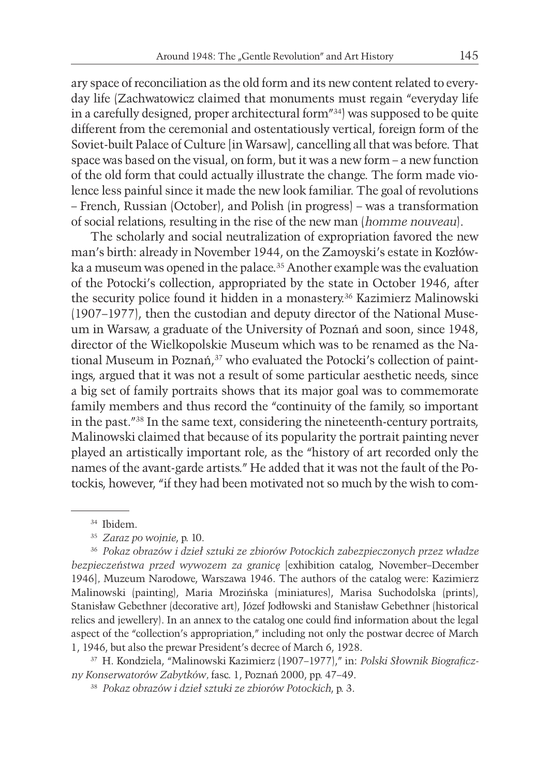ary space of reconciliation as the old form and its new content related to everyday life (Zachwatowicz claimed that monuments must regain "everyday life in a carefully designed, proper architectural form"34) was supposed to be quite different from the ceremonial and ostentatiously vertical, foreign form of the Soviet-built Palace of Culture [in Warsaw], cancelling all that was before. That space was based on the visual, on form, but it was a new form – a new function of the old form that could actually illustrate the change. The form made violence less painful since it made the new look familiar. The goal of revolutions – French, Russian (October), and Polish (in progress) – was a transformation of social relations, resulting in the rise of the new man (*homme nouveau*).

The scholarly and social neutralization of expropriation favored the new man's birth: already in November 1944, on the Zamoyski's estate in Kozłówka a museum was opened in the palace.<sup>35</sup> Another example was the evaluation of the Potocki's collection, appropriated by the state in October 1946, after the security police found it hidden in a monastery.36 Kazimierz Malinowski (1907–1977), then the custodian and deputy director of the National Museum in Warsaw, a graduate of the University of Poznań and soon, since 1948, director of the Wielkopolskie Museum which was to be renamed as the National Museum in Poznań,<sup>37</sup> who evaluated the Potocki's collection of paintings, argued that it was not a result of some particular aesthetic needs, since a big set of family portraits shows that its major goal was to commemorate family members and thus record the "continuity of the family, so important in the past."38 In the same text, considering the nineteenth-century portraits, Malinowski claimed that because of its popularity the portrait painting never played an artistically important role, as the "history of art recorded only the names of the avant-garde artists." He added that it was not the fault of the Potockis, however, "if they had been motivated not so much by the wish to com-

<sup>36</sup> *Pokaz obrazów i dzieł sztuki ze zbiorów Potockich zabezpieczonych przez władze bezpieczeństwa przed wywozem za granicę* [exhibition catalog, November–December 1946]*,* Muzeum Narodowe, Warszawa 1946. The authors of the catalog were: Kazimierz Malinowski (painting), Maria Mrozińska (miniatures), Marisa Suchodolska (prints), Stanisław Gebethner (decorative art), Józef Jodłowski and Stanisław Gebethner (historical relics and jewellery). In an annex to the catalog one could find information about the legal aspect of the "collection's appropriation," including not only the postwar decree of March 1, 1946, but also the prewar President's decree of March 6, 1928.

<sup>37</sup> H. Kondziela, "Malinowski Kazimierz (1907–1977)," in: *Polski Słownik Biograficzny Konserwatorów Zabytków,* fasc. 1, Poznań 2000, pp. 47–49.

<sup>38</sup> *Pokaz obrazów i dzieł sztuki ze zbiorów Potockich*, p. 3.

<sup>34</sup> Ibidem.

<sup>35</sup> *Zaraz po wojnie*, p. 10.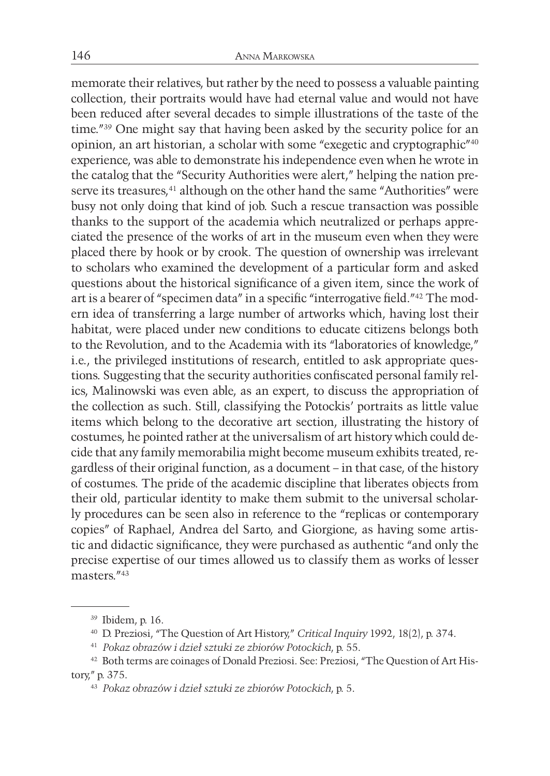memorate their relatives, but rather by the need to possess a valuable painting collection, their portraits would have had eternal value and would not have been reduced after several decades to simple illustrations of the taste of the time."39 One might say that having been asked by the security police for an opinion, an art historian, a scholar with some "exegetic and cryptographic"40 experience, was able to demonstrate his independence even when he wrote in the catalog that the "Security Authorities were alert," helping the nation preserve its treasures,<sup>41</sup> although on the other hand the same "Authorities" were busy not only doing that kind of job. Such a rescue transaction was possible thanks to the support of the academia which neutralized or perhaps appreciated the presence of the works of art in the museum even when they were placed there by hook or by crook. The question of ownership was irrelevant to scholars who examined the development of a particular form and asked questions about the historical significance of a given item, since the work of art is a bearer of "specimen data" in a specific "interrogative field."42 The modern idea of transferring a large number of artworks which, having lost their habitat, were placed under new conditions to educate citizens belongs both to the Revolution, and to the Academia with its "laboratories of knowledge," i.e., the privileged institutions of research, entitled to ask appropriate questions. Suggesting that the security authorities confiscated personal family relics, Malinowski was even able, as an expert, to discuss the appropriation of the collection as such. Still, classifying the Potockis' portraits as little value items which belong to the decorative art section, illustrating the history of costumes, he pointed rather at the universalism of art history which could decide that any family memorabilia might become museum exhibits treated, regardless of their original function, as a document – in that case, of the history of costumes. The pride of the academic discipline that liberates objects from their old, particular identity to make them submit to the universal scholarly procedures can be seen also in reference to the "replicas or contemporary copies" of Raphael, Andrea del Sarto, and Giorgione, as having some artistic and didactic significance, they were purchased as authentic "and only the precise expertise of our times allowed us to classify them as works of lesser masters<sup>"43</sup>

<sup>39</sup> Ibidem, p. 16.

<sup>40</sup> D. Preziosi, "The Question of Art History," *Critical Inquiry* 1992, 18(2), p. 374.

<sup>41</sup> *Pokaz obrazów i dzieł sztuki ze zbiorów Potockich*, p. 55.

<sup>42</sup> Both terms are coinages of Donald Preziosi. See: Preziosi, "The Question of Art History," p. 375.

<sup>43</sup> *Pokaz obrazów i dzieł sztuki ze zbiorów Potockich*, p. 5.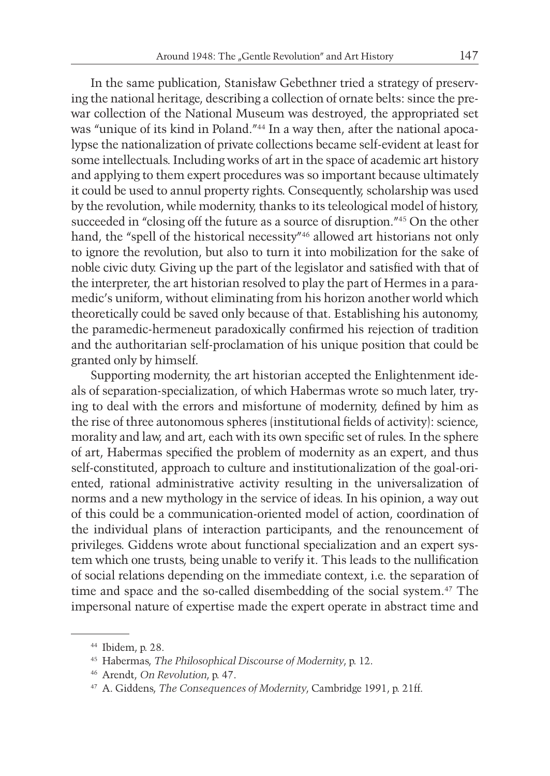In the same publication, Stanisław Gebethner tried a strategy of preserving the national heritage, describing a collection of ornate belts: since the prewar collection of the National Museum was destroyed, the appropriated set was "unique of its kind in Poland."44 In a way then, after the national apocalypse the nationalization of private collections became self-evident at least for some intellectuals. Including works of art in the space of academic art history and applying to them expert procedures was so important because ultimately it could be used to annul property rights. Consequently, scholarship was used by the revolution, while modernity, thanks to its teleological model of history, succeeded in "closing off the future as a source of disruption."45 On the other hand, the "spell of the historical necessity"<sup>46</sup> allowed art historians not only to ignore the revolution, but also to turn it into mobilization for the sake of noble civic duty. Giving up the part of the legislator and satisfied with that of the interpreter, the art historian resolved to play the part of Hermes in a paramedic's uniform, without eliminating from his horizon another world which theoretically could be saved only because of that. Establishing his autonomy, the paramedic-hermeneut paradoxically confirmed his rejection of tradition and the authoritarian self-proclamation of his unique position that could be granted only by himself.

Supporting modernity, the art historian accepted the Enlightenment ideals of separation-specialization, of which Habermas wrote so much later, trying to deal with the errors and misfortune of modernity, defined by him as the rise of three autonomous spheres (institutional fields of activity): science, morality and law, and art, each with its own specific set of rules. In the sphere of art, Habermas specified the problem of modernity as an expert, and thus self-constituted, approach to culture and institutionalization of the goal-oriented, rational administrative activity resulting in the universalization of norms and a new mythology in the service of ideas. In his opinion, a way out of this could be a communication-oriented model of action, coordination of the individual plans of interaction participants, and the renouncement of privileges. Giddens wrote about functional specialization and an expert system which one trusts, being unable to verify it. This leads to the nullification of social relations depending on the immediate context, i.e. the separation of time and space and the so-called disembedding of the social system.47 The impersonal nature of expertise made the expert operate in abstract time and

<sup>44</sup> Ibidem, p. 28.

<sup>45</sup> Habermas, *The Philosophical Discourse of Modernity*, p. 12.

<sup>46</sup> Arendt, *On Revolution*, p. 47.

<sup>47</sup> A. Giddens, *The Consequences of Modernity*, Cambridge 1991, p. 21ff.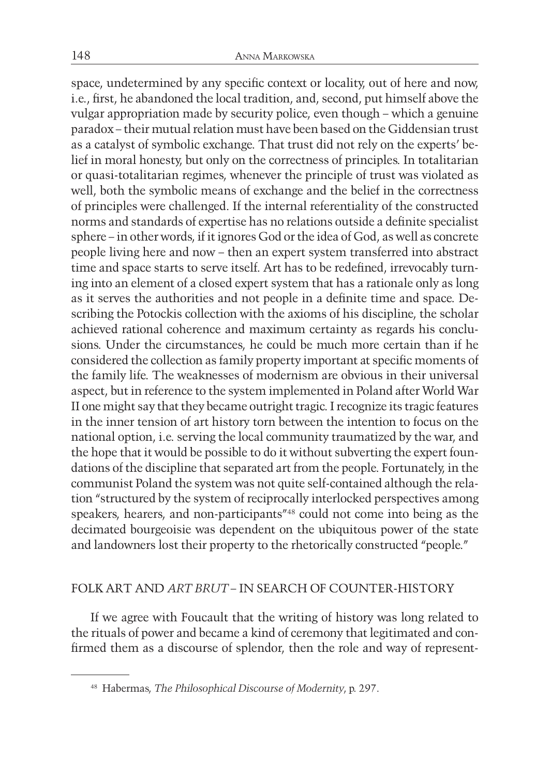space, undetermined by any specific context or locality, out of here and now, i.e., first, he abandoned the local tradition, and, second, put himself above the vulgar appropriation made by security police, even though – which a genuine paradox – their mutual relation must have been based on the Giddensian trust as a catalyst of symbolic exchange. That trust did not rely on the experts' belief in moral honesty, but only on the correctness of principles. In totalitarian or quasi-totalitarian regimes, whenever the principle of trust was violated as well, both the symbolic means of exchange and the belief in the correctness of principles were challenged. If the internal referentiality of the constructed norms and standards of expertise has no relations outside a definite specialist sphere – in other words, if it ignores God or the idea of God, as well as concrete people living here and now – then an expert system transferred into abstract time and space starts to serve itself. Art has to be redefined, irrevocably turning into an element of a closed expert system that has a rationale only as long as it serves the authorities and not people in a definite time and space. Describing the Potockis collection with the axioms of his discipline, the scholar achieved rational coherence and maximum certainty as regards his conclusions. Under the circumstances, he could be much more certain than if he considered the collection as family property important at specific moments of the family life. The weaknesses of modernism are obvious in their universal aspect, but in reference to the system implemented in Poland after World War II one might say that they became outright tragic. I recognize its tragic features in the inner tension of art history torn between the intention to focus on the national option, i.e. serving the local community traumatized by the war, and the hope that it would be possible to do it without subverting the expert foundations of the discipline that separated art from the people. Fortunately, in the communist Poland the system was not quite self-contained although the relation "structured by the system of reciprocally interlocked perspectives among speakers, hearers, and non-participants"48 could not come into being as the decimated bourgeoisie was dependent on the ubiquitous power of the state and landowners lost their property to the rhetorically constructed "people."

### FOLK ART AND *ART BRUT* – IN SEARCH OF COUNTER-HISTORY

If we agree with Foucault that the writing of history was long related to the rituals of power and became a kind of ceremony that legitimated and confirmed them as a discourse of splendor, then the role and way of represent-

<sup>48</sup> Habermas, *The Philosophical Discourse of Modernity*, p. 297.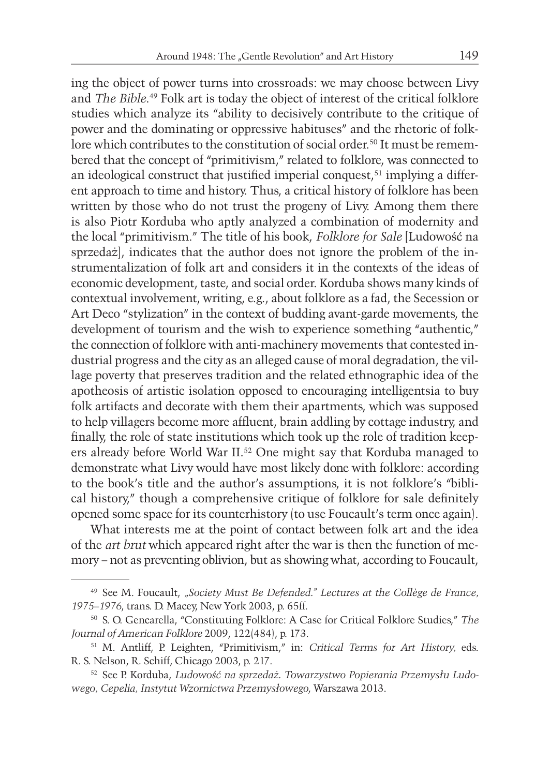ing the object of power turns into crossroads: we may choose between Livy and *The Bible*. 49 Folk art is today the object of interest of the critical folklore studies which analyze its "ability to decisively contribute to the critique of power and the dominating or oppressive habituses" and the rhetoric of folklore which contributes to the constitution of social order.<sup>50</sup> It must be remembered that the concept of "primitivism," related to folklore, was connected to an ideological construct that justified imperial conquest, $51$  implying a different approach to time and history. Thus, a critical history of folklore has been written by those who do not trust the progeny of Livy. Among them there is also Piotr Korduba who aptly analyzed a combination of modernity and the local "primitivism." The title of his book, *Folklore for Sale* [Ludowość na sprzedaż], indicates that the author does not ignore the problem of the instrumentalization of folk art and considers it in the contexts of the ideas of economic development, taste, and social order. Korduba shows many kinds of contextual involvement, writing, e.g., about folklore as a fad, the Secession or Art Deco "stylization" in the context of budding avant-garde movements, the development of tourism and the wish to experience something "authentic," the connection of folklore with anti-machinery movements that contested industrial progress and the city as an alleged cause of moral degradation, the village poverty that preserves tradition and the related ethnographic idea of the apotheosis of artistic isolation opposed to encouraging intelligentsia to buy folk artifacts and decorate with them their apartments, which was supposed to help villagers become more affluent, brain addling by cottage industry, and finally, the role of state institutions which took up the role of tradition keepers already before World War II.52 One might say that Korduba managed to demonstrate what Livy would have most likely done with folklore: according to the book's title and the author's assumptions, it is not folklore's "biblical history," though a comprehensive critique of folklore for sale definitely opened some space for its counterhistory (to use Foucault's term once again).

What interests me at the point of contact between folk art and the idea of the *art brut* which appeared right after the war is then the function of memory – not as preventing oblivion, but as showing what, according to Foucault,

<sup>49</sup> See M. Foucault, *"Society Must Be Defended." Lectures at the Collège de France, 1975–1976*, trans. D. Macey, New York 2003, p. 65ff.

<sup>50</sup> S. O. Gencarella, "Constituting Folklore: A Case for Critical Folklore Studies," *The Journal of American Folklore* 2009, 122(484), p. 173.

<sup>51</sup> M. Antliff, P. Leighten, "Primitivism," in: *Critical Terms for Art History,* eds. R. S. Nelson, R. Schiff, Chicago 2003, p. 217.

<sup>52</sup> See P. Korduba, *Ludowość na sprzedaż. Towarzystwo Popierania Przemysłu Ludowego, Cepelia, Instytut Wzornictwa Przemysłowego*, Warszawa 2013.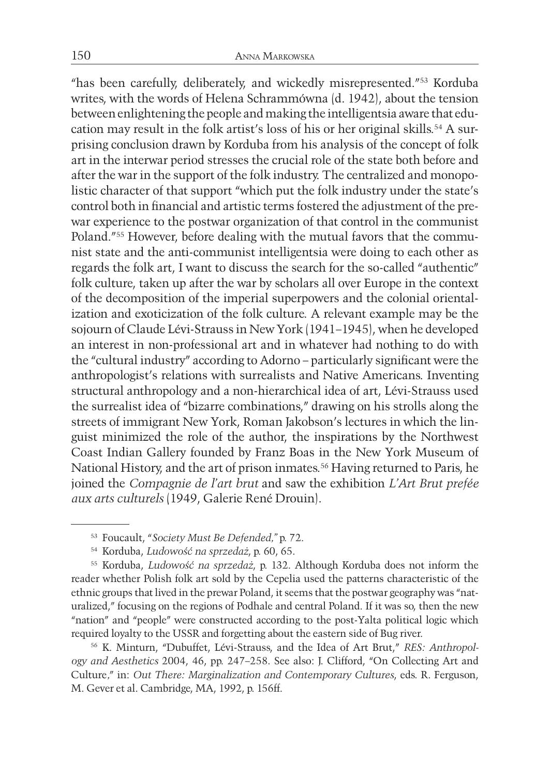"has been carefully, deliberately, and wickedly misrepresented."53 Korduba writes, with the words of Helena Schrammówna (d. 1942), about the tension between enlightening the people and making the intelligentsia aware that education may result in the folk artist's loss of his or her original skills.<sup>54</sup> A surprising conclusion drawn by Korduba from his analysis of the concept of folk art in the interwar period stresses the crucial role of the state both before and after the war in the support of the folk industry. The centralized and monopolistic character of that support "which put the folk industry under the state's control both in financial and artistic terms fostered the adjustment of the prewar experience to the postwar organization of that control in the communist Poland."55 However, before dealing with the mutual favors that the communist state and the anti-communist intelligentsia were doing to each other as regards the folk art, I want to discuss the search for the so-called "authentic" folk culture, taken up after the war by scholars all over Europe in the context of the decomposition of the imperial superpowers and the colonial orientalization and exoticization of the folk culture. A relevant example may be the sojourn of Claude Lévi-Strauss in New York (1941–1945), when he developed an interest in non-professional art and in whatever had nothing to do with the "cultural industry" according to Adorno – particularly significant were the anthropologist's relations with surrealists and Native Americans. Inventing structural anthropology and a non-hierarchical idea of art, Lévi-Strauss used the surrealist idea of "bizarre combinations," drawing on his strolls along the streets of immigrant New York, Roman Jakobson's lectures in which the linguist minimized the role of the author, the inspirations by the Northwest Coast Indian Gallery founded by Franz Boas in the New York Museum of National History, and the art of prison inmates.<sup>56</sup> Having returned to Paris, he joined the *Compagnie de l'art brut* and saw the exhibition *L'Art Brut prefée aux arts culturels* (1949, Galerie René Drouin).

<sup>55</sup> Korduba, *Ludowość na sprzedaż*, p. 132. Although Korduba does not inform the reader whether Polish folk art sold by the Cepelia used the patterns characteristic of the ethnic groups that lived in the prewar Poland, it seems that the postwar geography was "naturalized," focusing on the regions of Podhale and central Poland. If it was so, then the new "nation" and "people" were constructed according to the post-Yalta political logic which required loyalty to the USSR and forgetting about the eastern side of Bug river.

<sup>56</sup> K. Minturn, "Dubuffet, Lévi-Strauss, and the Idea of Art Brut," *RES: Anthropology and Aesthetics* 2004, 46, pp. 247–258. See also: J. Clifford, "On Collecting Art and Culture*,*" in: *Out There: Marginalization and Contemporary Cultures*, eds. R. Ferguson, M. Gever et al. Cambridge, MA, 1992, p. 156ff.

<sup>53</sup> Foucault, "*Society Must Be Defended,"* p. 72.

<sup>54</sup> Korduba, *Ludowość na sprzedaż*, p. 60, 65.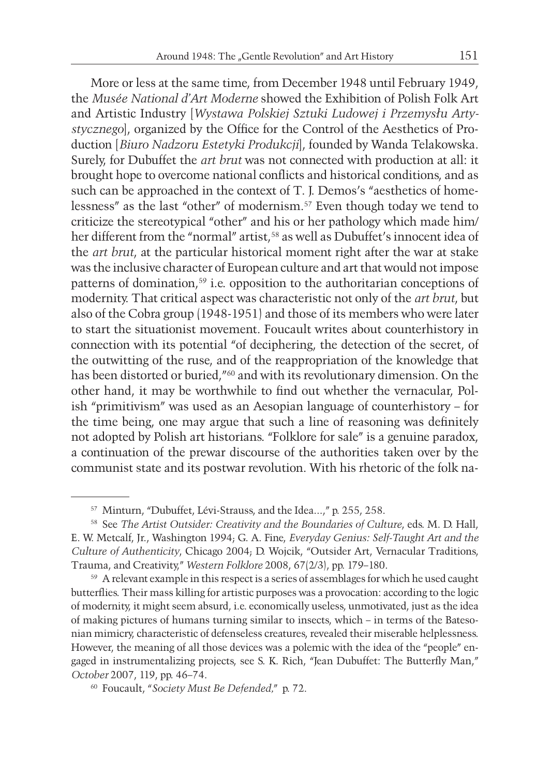More or less at the same time, from December 1948 until February 1949, the *Musée National d'Art Moderne* showed the Exhibition of Polish Folk Art and Artistic Industry [*Wystawa Polskiej Sztuki Ludowej i Przemysłu Artystycznego*], organized by the Office for the Control of the Aesthetics of Production [*Biuro Nadzoru Estetyki Produkcji*], founded by Wanda Telakowska. Surely, for Dubuffet the *art brut* was not connected with production at all: it brought hope to overcome national conflicts and historical conditions, and as such can be approached in the context of T. J. Demos's "aesthetics of homelessness" as the last "other" of modernism.57 Even though today we tend to criticize the stereotypical "other" and his or her pathology which made him/ her different from the "normal" artist,<sup>58</sup> as well as Dubuffet's innocent idea of the *art brut*, at the particular historical moment right after the war at stake was the inclusive character of European culture and art that would not impose patterns of domination,59 i.e. opposition to the authoritarian conceptions of modernity. That critical aspect was characteristic not only of the *art brut*, but also of the Cobra group (1948-1951) and those of its members who were later to start the situationist movement. Foucault writes about counterhistory in connection with its potential "of deciphering, the detection of the secret, of the outwitting of the ruse, and of the reappropriation of the knowledge that has been distorted or buried,"60 and with its revolutionary dimension. On the other hand, it may be worthwhile to find out whether the vernacular, Polish "primitivism" was used as an Aesopian language of counterhistory – for the time being, one may argue that such a line of reasoning was definitely not adopted by Polish art historians. "Folklore for sale" is a genuine paradox, a continuation of the prewar discourse of the authorities taken over by the communist state and its postwar revolution. With his rhetoric of the folk na-

<sup>57</sup> Minturn, "Dubuffet, Lévi-Strauss, and the Idea...," p. 255, 258.

<sup>58</sup> See *The Artist Outsider: Creativity and the Boundaries of Culture*, eds. M. D. Hall, E. W. Metcalf, Jr., Washington 1994; G. A. Fine, *Everyday Genius: Self-Taught Art and the Culture of Authenticity*, Chicago 2004; D. Wojcik, "Outsider Art, Vernacular Traditions, Trauma, and Creativity," *Western Folklore* 2008, 67(2/3), pp. 179–180.

<sup>59</sup> A relevant example in this respect is a series of assemblages for which he used caught butterflies. Their mass killing for artistic purposes was a provocation: according to the logic of modernity, it might seem absurd, i.e. economically useless, unmotivated, just as the idea of making pictures of humans turning similar to insects, which – in terms of the Batesonian mimicry, characteristic of defenseless creatures, revealed their miserable helplessness. However, the meaning of all those devices was a polemic with the idea of the "people" engaged in instrumentalizing projects, see S. K. Rich, "Jean Dubuffet: The Butterfly Man," *October* 2007, 119, pp. 46–74.

<sup>60</sup> Foucault, "*Society Must Be Defended,*" p. 72.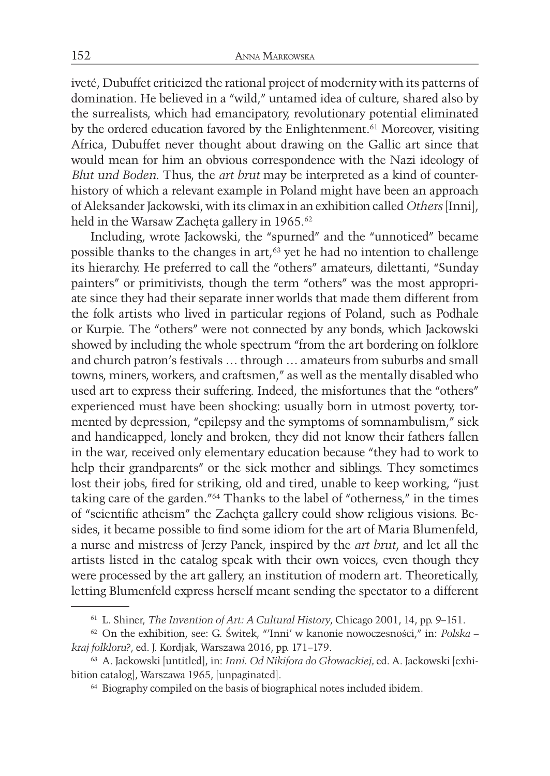iveté, Dubuffet criticized the rational project of modernity with its patterns of domination. He believed in a "wild," untamed idea of culture, shared also by the surrealists, which had emancipatory, revolutionary potential eliminated by the ordered education favored by the Enlightenment.<sup>61</sup> Moreover, visiting Africa, Dubuffet never thought about drawing on the Gallic art since that would mean for him an obvious correspondence with the Nazi ideology of *Blut und Boden*. Thus, the *art brut* may be interpreted as a kind of counterhistory of which a relevant example in Poland might have been an approach of Aleksander Jackowski, with its climax in an exhibition called *Others* [Inni], held in the Warsaw Zacheta gallery in 1965.<sup>62</sup>

Including, wrote Jackowski, the "spurned" and the "unnoticed" became possible thanks to the changes in art,<sup>63</sup> yet he had no intention to challenge its hierarchy. He preferred to call the "others" amateurs, dilettanti, "Sunday painters" or primitivists, though the term "others" was the most appropriate since they had their separate inner worlds that made them different from the folk artists who lived in particular regions of Poland, such as Podhale or Kurpie. The "others" were not connected by any bonds, which Jackowski showed by including the whole spectrum "from the art bordering on folklore and church patron's festivals … through … amateurs from suburbs and small towns, miners, workers, and craftsmen," as well as the mentally disabled who used art to express their suffering. Indeed, the misfortunes that the "others" experienced must have been shocking: usually born in utmost poverty, tormented by depression, "epilepsy and the symptoms of somnambulism," sick and handicapped, lonely and broken, they did not know their fathers fallen in the war, received only elementary education because "they had to work to help their grandparents" or the sick mother and siblings. They sometimes lost their jobs, fired for striking, old and tired, unable to keep working, "just taking care of the garden."64 Thanks to the label of "otherness," in the times of "scientific atheism" the Zachęta gallery could show religious visions. Besides, it became possible to find some idiom for the art of Maria Blumenfeld, a nurse and mistress of Jerzy Panek, inspired by the *art brut*, and let all the artists listed in the catalog speak with their own voices, even though they were processed by the art gallery, an institution of modern art. Theoretically, letting Blumenfeld express herself meant sending the spectator to a different

<sup>61</sup> L. Shiner, *The Invention of Art: A Cultural History*, Chicago 2001, 14, pp. 9–151.

<sup>62</sup> On the exhibition, see: G. Świtek, "'Inni' w kanonie nowoczesności," in: *Polska – kraj folkloru?*, ed. J. Kordjak, Warszawa 2016, pp. 171–179.

<sup>63</sup> A. Jackowski [untitled], in: *Inni. Od Nikifora do Głowackiej,* ed. A. Jackowski [exhibition catalog], Warszawa 1965, [unpaginated].

<sup>64</sup> Biography compiled on the basis of biographical notes included ibidem*.*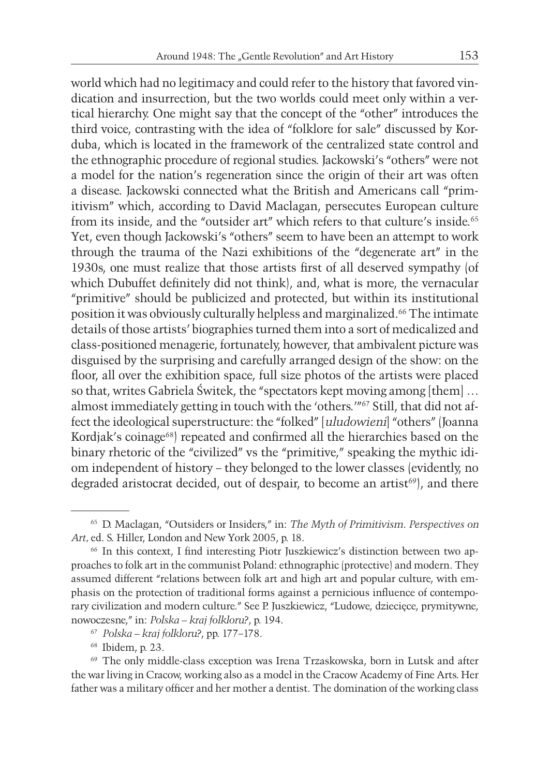world which had no legitimacy and could refer to the history that favored vindication and insurrection, but the two worlds could meet only within a vertical hierarchy. One might say that the concept of the "other" introduces the third voice, contrasting with the idea of "folklore for sale" discussed by Korduba, which is located in the framework of the centralized state control and the ethnographic procedure of regional studies. Jackowski's "others" were not a model for the nation's regeneration since the origin of their art was often a disease. Jackowski connected what the British and Americans call "primitivism" which, according to David Maclagan, persecutes European culture from its inside, and the "outsider art" which refers to that culture's inside.<sup>65</sup> Yet, even though Jackowski's "others" seem to have been an attempt to work through the trauma of the Nazi exhibitions of the "degenerate art" in the 1930s, one must realize that those artists first of all deserved sympathy (of which Dubuffet definitely did not think), and, what is more, the vernacular "primitive" should be publicized and protected, but within its institutional position it was obviously culturally helpless and marginalized.66 The intimate details of those artists' biographies turned them into a sort of medicalized and class-positioned menagerie, fortunately, however, that ambivalent picture was disguised by the surprising and carefully arranged design of the show: on the floor, all over the exhibition space, full size photos of the artists were placed so that, writes Gabriela Świtek, the "spectators kept moving among [them] … almost immediately getting in touch with the 'others.'"67 Still, that did not affect the ideological superstructure: the "folked" [*uludowieni*] "others" (Joanna Kordjak's coinage<sup>68</sup>) repeated and confirmed all the hierarchies based on the binary rhetoric of the "civilized" vs the "primitive," speaking the mythic idiom independent of history – they belonged to the lower classes (evidently, no degraded aristocrat decided, out of despair, to become an artist $^{69}$ ), and there

<sup>65</sup> D. Maclagan, "Outsiders or Insiders," in: *The Myth of Primitivism. Perspectives on Art,* ed. S. Hiller, London and New York 2005, p. 18.

<sup>&</sup>lt;sup>66</sup> In this context, I find interesting Piotr Juszkiewicz's distinction between two approaches to folk art in the communist Poland: ethnographic (protective) and modern. They assumed different "relations between folk art and high art and popular culture, with emphasis on the protection of traditional forms against a pernicious influence of contemporary civilization and modern culture." See P. Juszkiewicz, "Ludowe, dziecięce, prymitywne, nowoczesne," in: *Polska – kraj folkloru?*, p. 194.

<sup>67</sup> *Polska – kraj folkloru?*, pp. 177–178.

<sup>68</sup> Ibidem, p. 23.

<sup>69</sup> The only middle-class exception was Irena Trzaskowska, born in Lutsk and after the war living in Cracow, working also as a model in the Cracow Academy of Fine Arts. Her father was a military officer and her mother a dentist. The domination of the working class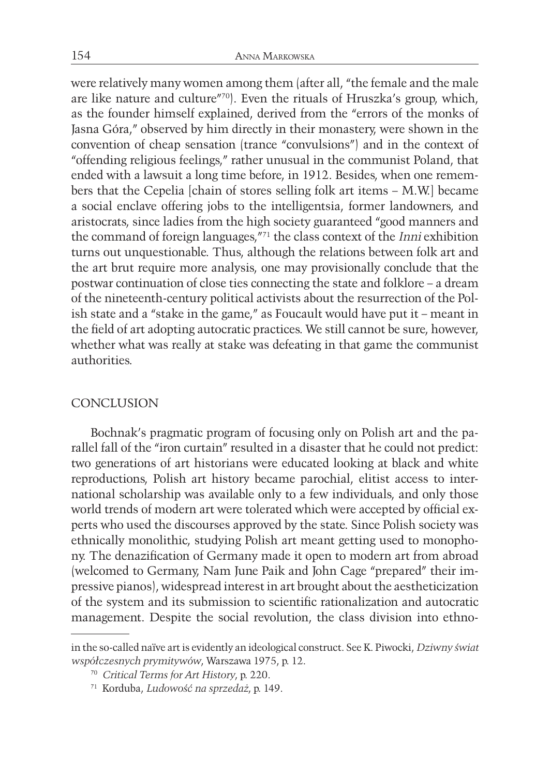were relatively many women among them (after all, "the female and the male are like nature and culture"70). Even the rituals of Hruszka's group, which, as the founder himself explained, derived from the "errors of the monks of Jasna Góra," observed by him directly in their monastery, were shown in the convention of cheap sensation (trance "convulsions") and in the context of "offending religious feelings," rather unusual in the communist Poland, that ended with a lawsuit a long time before, in 1912. Besides, when one remembers that the Cepelia [chain of stores selling folk art items – M.W.] became a social enclave offering jobs to the intelligentsia, former landowners, and aristocrats, since ladies from the high society guaranteed "good manners and the command of foreign languages,"71 the class context of the *Inni* exhibition turns out unquestionable. Thus, although the relations between folk art and the art brut require more analysis, one may provisionally conclude that the postwar continuation of close ties connecting the state and folklore – a dream of the nineteenth-century political activists about the resurrection of the Polish state and a "stake in the game," as Foucault would have put it – meant in the field of art adopting autocratic practices. We still cannot be sure, however, whether what was really at stake was defeating in that game the communist authorities.

### CONCLUSION

Bochnak's pragmatic program of focusing only on Polish art and the parallel fall of the "iron curtain" resulted in a disaster that he could not predict: two generations of art historians were educated looking at black and white reproductions, Polish art history became parochial, elitist access to international scholarship was available only to a few individuals, and only those world trends of modern art were tolerated which were accepted by official experts who used the discourses approved by the state. Since Polish society was ethnically monolithic, studying Polish art meant getting used to monophony. The denazification of Germany made it open to modern art from abroad (welcomed to Germany, Nam June Paik and John Cage "prepared" their impressive pianos), widespread interest in art brought about the aestheticization of the system and its submission to scientific rationalization and autocratic management. Despite the social revolution, the class division into ethno-

in the so-called naïve art is evidently an ideological construct. See K. Piwocki, *Dziwny świat współczesnych prymitywów*, Warszawa 1975, p. 12.

<sup>70</sup> *Critical Terms for Art History*, p. 220.

<sup>71</sup> Korduba, *Ludowość na sprzedaż*, p. 149.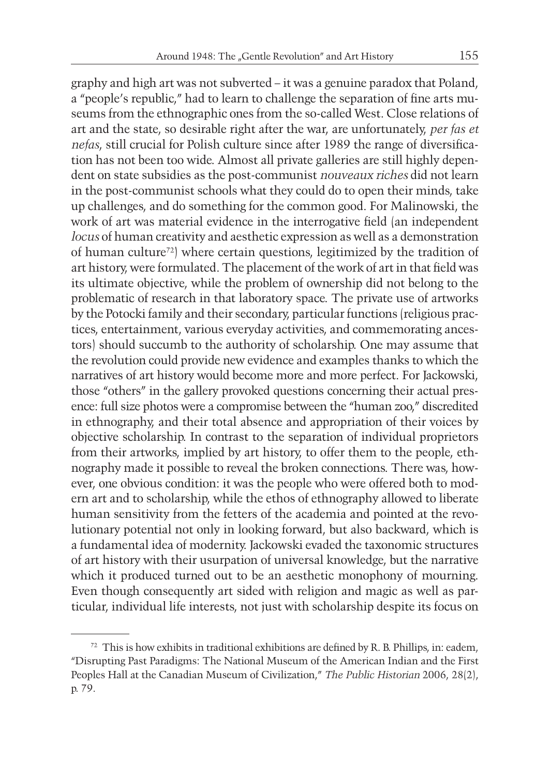graphy and high art was not subverted – it was a genuine paradox that Poland, a "people's republic," had to learn to challenge the separation of fine arts museums from the ethnographic ones from the so-called West. Close relations of art and the state, so desirable right after the war, are unfortunately, *per fas et nefas*, still crucial for Polish culture since after 1989 the range of diversification has not been too wide. Almost all private galleries are still highly dependent on state subsidies as the post-communist *nouveaux riches* did not learn in the post-communist schools what they could do to open their minds, take up challenges, and do something for the common good. For Malinowski, the work of art was material evidence in the interrogative field (an independent *locus* of human creativity and aesthetic expression as well as a demonstration of human culture72) where certain questions, legitimized by the tradition of art history, were formulated. The placement of the work of art in that field was its ultimate objective, while the problem of ownership did not belong to the problematic of research in that laboratory space. The private use of artworks by the Potocki family and their secondary, particular functions (religious practices, entertainment, various everyday activities, and commemorating ancestors) should succumb to the authority of scholarship. One may assume that the revolution could provide new evidence and examples thanks to which the narratives of art history would become more and more perfect. For Jackowski, those "others" in the gallery provoked questions concerning their actual presence: full size photos were a compromise between the "human zoo," discredited in ethnography, and their total absence and appropriation of their voices by objective scholarship. In contrast to the separation of individual proprietors from their artworks, implied by art history, to offer them to the people, ethnography made it possible to reveal the broken connections. There was, however, one obvious condition: it was the people who were offered both to modern art and to scholarship, while the ethos of ethnography allowed to liberate human sensitivity from the fetters of the academia and pointed at the revolutionary potential not only in looking forward, but also backward, which is a fundamental idea of modernity. Jackowski evaded the taxonomic structures of art history with their usurpation of universal knowledge, but the narrative which it produced turned out to be an aesthetic monophony of mourning. Even though consequently art sided with religion and magic as well as particular, individual life interests, not just with scholarship despite its focus on

<sup>&</sup>lt;sup>72</sup> This is how exhibits in traditional exhibitions are defined by R. B. Phillips, in: eadem, "Disrupting Past Paradigms: The National Museum of the American Indian and the First Peoples Hall at the Canadian Museum of Civilization," *The Public Historian* 2006, 28(2), p. 79.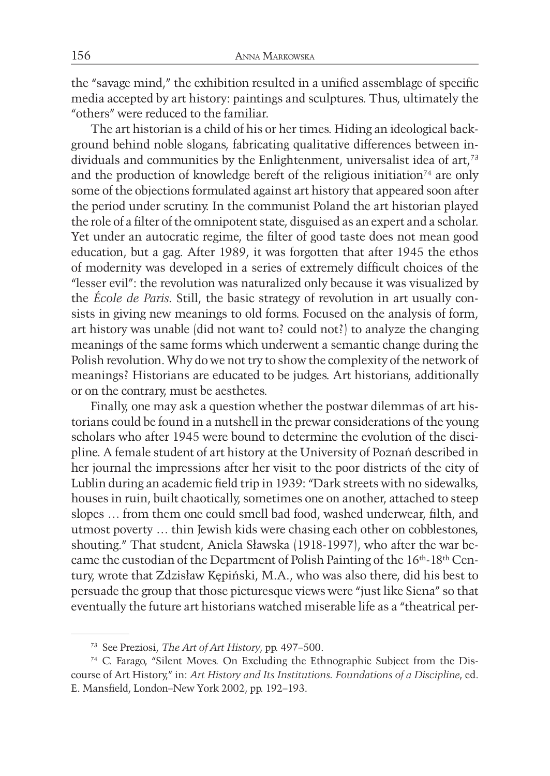the "savage mind," the exhibition resulted in a unified assemblage of specific media accepted by art history: paintings and sculptures. Thus, ultimately the "others" were reduced to the familiar.

The art historian is a child of his or her times. Hiding an ideological background behind noble slogans, fabricating qualitative differences between individuals and communities by the Enlightenment, universalist idea of art,<sup>73</sup> and the production of knowledge bereft of the religious initiation<sup>74</sup> are only some of the objections formulated against art history that appeared soon after the period under scrutiny. In the communist Poland the art historian played the role of a filter of the omnipotent state, disguised as an expert and a scholar. Yet under an autocratic regime, the filter of good taste does not mean good education, but a gag. After 1989, it was forgotten that after 1945 the ethos of modernity was developed in a series of extremely difficult choices of the "lesser evil": the revolution was naturalized only because it was visualized by the *École de Paris*. Still, the basic strategy of revolution in art usually consists in giving new meanings to old forms. Focused on the analysis of form, art history was unable (did not want to? could not?) to analyze the changing meanings of the same forms which underwent a semantic change during the Polish revolution. Why do we not try to show the complexity of the network of meanings? Historians are educated to be judges. Art historians, additionally or on the contrary, must be aesthetes.

Finally, one may ask a question whether the postwar dilemmas of art historians could be found in a nutshell in the prewar considerations of the young scholars who after 1945 were bound to determine the evolution of the discipline. A female student of art history at the University of Poznań described in her journal the impressions after her visit to the poor districts of the city of Lublin during an academic field trip in 1939: "Dark streets with no sidewalks, houses in ruin, built chaotically, sometimes one on another, attached to steep slopes … from them one could smell bad food, washed underwear, filth, and utmost poverty … thin Jewish kids were chasing each other on cobblestones, shouting." That student, Aniela Sławska (1918-1997), who after the war became the custodian of the Department of Polish Painting of the 16<sup>th</sup>-18<sup>th</sup> Century, wrote that Zdzisław Kępiński, M.A., who was also there, did his best to persuade the group that those picturesque views were "just like Siena" so that eventually the future art historians watched miserable life as a "theatrical per-

<sup>73</sup> See Preziosi, *The Art of Art History*, pp. 497–500.

<sup>74</sup> C. Farago, "Silent Moves. On Excluding the Ethnographic Subject from the Discourse of Art History," in: *Art History and Its Institutions. Foundations of a Discipline*, ed. E. Mansfield, London–New York 2002, pp. 192–193.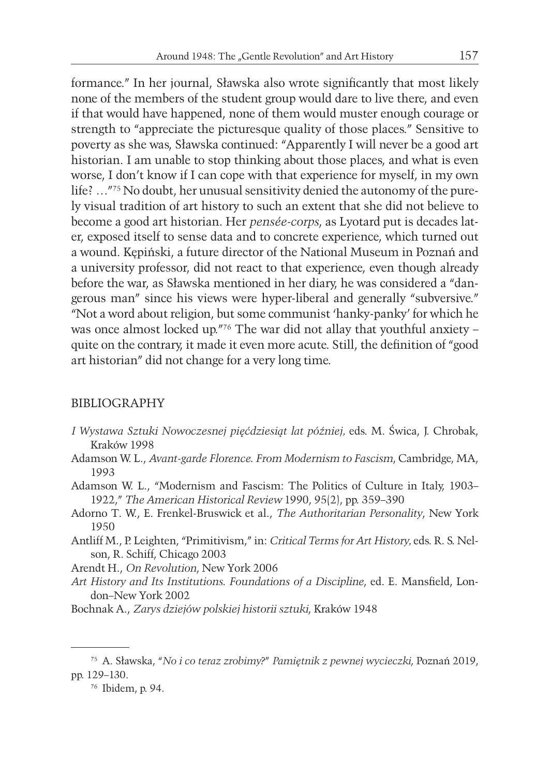formance." In her journal, Sławska also wrote significantly that most likely none of the members of the student group would dare to live there, and even if that would have happened, none of them would muster enough courage or strength to "appreciate the picturesque quality of those places." Sensitive to poverty as she was, Sławska continued: "Apparently I will never be a good art historian. I am unable to stop thinking about those places, and what is even worse, I don't know if I can cope with that experience for myself, in my own life? …"75 No doubt, her unusual sensitivity denied the autonomy of the purely visual tradition of art history to such an extent that she did not believe to become a good art historian. Her *pensée-corps*, as Lyotard put is decades later, exposed itself to sense data and to concrete experience, which turned out a wound. Kępiński, a future director of the National Museum in Poznań and a university professor, did not react to that experience, even though already before the war, as Sławska mentioned in her diary, he was considered a "dangerous man" since his views were hyper-liberal and generally "subversive." "Not a word about religion, but some communist 'hanky-panky' for which he was once almost locked up."76 The war did not allay that youthful anxiety – quite on the contrary, it made it even more acute. Still, the definition of "good art historian" did not change for a very long time.

#### BIBLIOGRAPHY

- *I Wystawa Sztuki Nowoczesnej pięćdziesiąt lat później,* eds. M. Świca, J. Chrobak, Kraków 1998
- Adamson W. L., *Avant-garde Florence. From Modernism to Fascism*, Cambridge, MA, 1993
- Adamson W. L., "Modernism and Fascism: The Politics of Culture in Italy, 1903– 1922," *The American Historical Review* 1990, 95(2), pp. 359–390
- Adorno T. W., E. Frenkel-Bruswick et al., *The Authoritarian Personality*, New York 1950
- Antliff M., P. Leighten, "Primitivism," in: *Critical Terms for Art History,* eds. R. S. Nelson, R. Schiff, Chicago 2003
- Arendt H., *On Revolution*, New York 2006
- *Art History and Its Institutions. Foundations of a Discipline*, ed. E. Mansfield, London–New York 2002
- Bochnak A., *Zarys dziejów polskiej historii sztuki*, Kraków 1948

<sup>75</sup> A. Sławska, "*No i co teraz zrobimy?*" *Pamiętnik z pewnej wycieczki*, Poznań 2019, pp. 129–130.

<sup>76</sup> Ibidem, p. 94.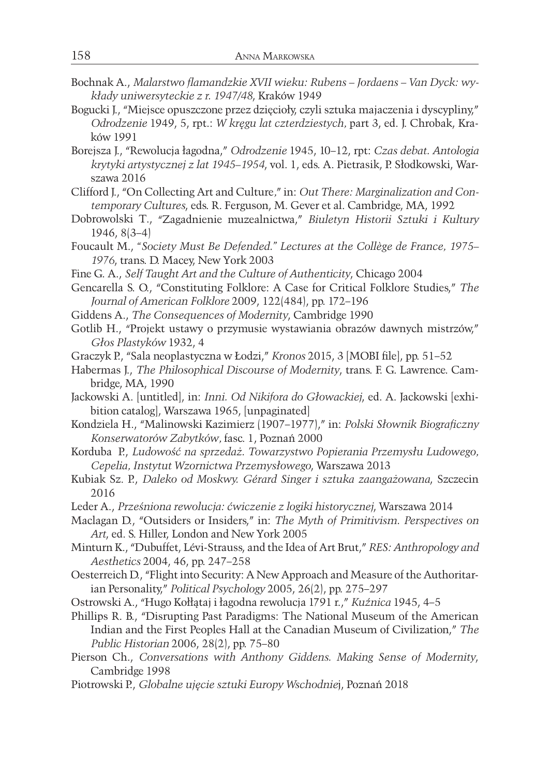- Bochnak A., *Malarstwo flamandzkie XVII wieku: Rubens Jordaens Van Dyck: wykłady uniwersyteckie z r. 1947/48*, Kraków 1949
- Bogucki J., "Miejsce opuszczone przez dzięcioły, czyli sztuka majaczenia i dyscypliny," *Odrodzenie* 1949, 5, rpt.: *W kręgu lat czterdziestych,* part 3, ed. J. Chrobak, Kraków 1991
- Borejsza J., "Rewolucja łagodna," *Odrodzenie* 1945, 10–12, rpt: *Czas debat. Antologia krytyki artystycznej z lat 1945–1954*, vol. 1, eds. A. Pietrasik, P. Słodkowski, Warszawa 2016
- Clifford J., "On Collecting Art and Culture*,*" in: *Out There: Marginalization and Contemporary Cultures*, eds. R. Ferguson, M. Gever et al. Cambridge, MA, 1992
- Dobrowolski T., "Zagadnienie muzealnictwa," *Biuletyn Historii Sztuki i Kultury* 1946, 8(3–4)
- Foucault M., *"Society Must Be Defended." Lectures at the Collège de France, 1975– 1976*, trans. D. Macey, New York 2003
- Fine G. A., *Self Taught Art and the Culture of Authenticity*, Chicago 2004
- Gencarella S. O., "Constituting Folklore: A Case for Critical Folklore Studies," *The Journal of American Folklore* 2009, 122(484), pp. 172–196
- Giddens A., *The Consequences of Modernity*, Cambridge 1990
- Gotlib H., "Projekt ustawy o przymusie wystawiania obrazów dawnych mistrzów," *Głos Plastyków* 1932, 4
- Graczyk P., "Sala neoplastyczna w Łodzi," *Kronos* 2015, 3 [MOBI file], pp. 51–52
- Habermas J., *The Philosophical Discourse of Modernity*, trans. F. G. Lawrence. Cambridge, MA, 1990
- Jackowski A. [untitled], in: *Inni. Od Nikifora do Głowackiej*, ed. A. Jackowski [exhibition catalog], Warszawa 1965, [unpaginated]
- Kondziela H., "Malinowski Kazimierz (1907–1977)," in: *Polski Słownik Biograficzny Konserwatorów Zabytków,* fasc. 1, Poznań 2000
- Korduba P., *Ludowość na sprzedaż. Towarzystwo Popierania Przemysłu Ludowego, Cepelia, Instytut Wzornictwa Przemysłowego*, Warszawa 2013
- Kubiak Sz. P., *Daleko od Moskwy. Gérard Singer i sztuka zaangażowana*, Szczecin 2016
- Leder A., *Prześniona rewolucja: ćwiczenie z logiki historycznej*, Warszawa 2014
- Maclagan D., "Outsiders or Insiders," in: *The Myth of Primitivism. Perspectives on Art*, ed. S. Hiller, London and New York 2005
- Minturn K., "Dubuffet, Lévi-Strauss, and the Idea of Art Brut," *RES: Anthropology and Aesthetics* 2004, 46, pp. 247–258
- Oesterreich D., "Flight into Security: A New Approach and Measure of the Authoritarian Personality," *Political Psychology* 2005, 26(2), pp. 275–297
- Ostrowski A., "Hugo Kołłątaj i łagodna rewolucja 1791 r.," *Kuźnica* 1945, 4–5
- Phillips R. B., "Disrupting Past Paradigms: The National Museum of the American Indian and the First Peoples Hall at the Canadian Museum of Civilization," *The Public Historian* 2006, 28(2), pp. 75–80
- Pierson Ch., *Conversations with Anthony Giddens. Making Sense of Modernity*, Cambridge 1998
- Piotrowski P., *Globalne ujęcie sztuki Europy Wschodnie*j, Poznań 2018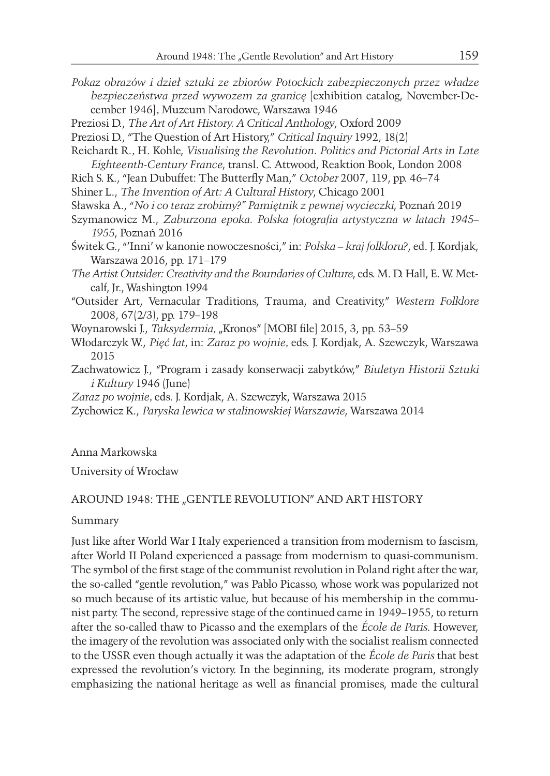- *Pokaz obrazów i dzieł sztuki ze zbiorów Potockich zabezpieczonych przez władze bezpieczeństwa przed wywozem za granicę* [exhibition catalog, November-December 1946]*,* Muzeum Narodowe, Warszawa 1946
- Preziosi D., *The Art of Art History. A Critical Anthology*, Oxford 2009
- Preziosi D., "The Question of Art History," *Critical Inquiry* 1992, 18(2)
- Reichardt R.*,* H. Kohle, *Visualising the Revolution. Politics and Pictorial Arts in Late Eighteenth-Century France*, transl. C. Attwood, Reaktion Book, London 2008
- Rich S. K., "Jean Dubuffet: The Butterfly Man," *October* 2007, 119, pp. 46–74
- Shiner L., *The Invention of Art: A Cultural History*, Chicago 2001
- Sławska A., "*No i co teraz zrobimy?" Pamiętnik z pewnej wycieczki*, Poznań 2019
- Szymanowicz M., *Zaburzona epoka. Polska fotografia artystyczna w latach 1945– 1955*, Poznań 2016
- Świtek G., "'Inni' w kanonie nowoczesności," in: *Polska kraj folkloru?*, ed. J. Kordjak, Warszawa 2016, pp. 171–179
- *The Artist Outsider: Creativity and the Boundaries of Culture*, eds. M. D. Hall, E. W. Metcalf, Jr., Washington 1994
- "Outsider Art, Vernacular Traditions, Trauma, and Creativity," *Western Folklore* 2008, 67(2/3), pp. 179–198
- Woynarowski J., *Taksydermia,* "Kronos" [MOBI file] 2015, 3, pp. 53–59
- Włodarczyk W., *Pięć lat,* in: *Zaraz po wojnie,* eds. J. Kordjak, A. Szewczyk, Warszawa 2015
- Zachwatowicz J., "Program i zasady konserwacji zabytków," *Biuletyn Historii Sztuki i Kultury* 1946 (June)
- *Zaraz po wojnie,* eds. J. Kordjak, A. Szewczyk, Warszawa 2015
- Zychowicz K., *Paryska lewica w stalinowskiej Warszawie*, Warszawa 2014

#### Anna Markowska

University of Wrocław

#### AROUND 1948: THE "GENTLE REVOLUTION" AND ART HISTORY

#### Summary

Just like after World War I Italy experienced a transition from modernism to fascism, after World II Poland experienced a passage from modernism to quasi-communism. The symbol of the first stage of the communist revolution in Poland right after the war, the so-called "gentle revolution," was Pablo Picasso, whose work was popularized not so much because of its artistic value, but because of his membership in the communist party. The second, repressive stage of the continued came in 1949–1955, to return after the so-called thaw to Picasso and the exemplars of the *École de Paris*. However, the imagery of the revolution was associated only with the socialist realism connected to the USSR even though actually it was the adaptation of the *École de Paris* that best expressed the revolution's victory. In the beginning, its moderate program, strongly emphasizing the national heritage as well as financial promises, made the cultural